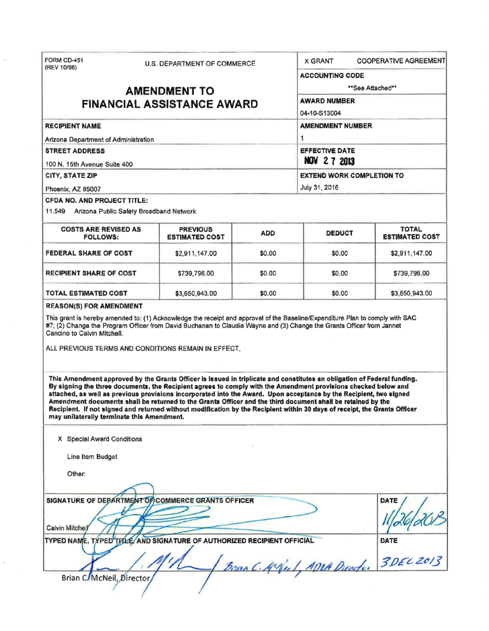| FORM CD-451                                                                                                                                                                                                                                                                                                                                                                                                                                                                                                                                                                                                                                                        | U.S. DEPARTMENT OF COMMERCE              |            |                                             | <b>COOPERATIVE AGREEMENT</b><br><b>X GRANT</b> |  |
|--------------------------------------------------------------------------------------------------------------------------------------------------------------------------------------------------------------------------------------------------------------------------------------------------------------------------------------------------------------------------------------------------------------------------------------------------------------------------------------------------------------------------------------------------------------------------------------------------------------------------------------------------------------------|------------------------------------------|------------|---------------------------------------------|------------------------------------------------|--|
| (REV 10/98)<br><b>AMENDMENT TO</b><br><b>FINANCIAL ASSISTANCE AWARD</b>                                                                                                                                                                                                                                                                                                                                                                                                                                                                                                                                                                                            |                                          |            | <b>ACCOUNTING CODE</b>                      | **See Attached**                               |  |
|                                                                                                                                                                                                                                                                                                                                                                                                                                                                                                                                                                                                                                                                    |                                          |            |                                             |                                                |  |
|                                                                                                                                                                                                                                                                                                                                                                                                                                                                                                                                                                                                                                                                    |                                          |            | <b>AWARD NUMBER</b>                         |                                                |  |
|                                                                                                                                                                                                                                                                                                                                                                                                                                                                                                                                                                                                                                                                    |                                          |            | 04-10-S13004                                |                                                |  |
| <b>RECIPIENT NAME</b>                                                                                                                                                                                                                                                                                                                                                                                                                                                                                                                                                                                                                                              |                                          |            | <b>AMENDMENT NUMBER</b>                     |                                                |  |
| Arizona Department of Administration                                                                                                                                                                                                                                                                                                                                                                                                                                                                                                                                                                                                                               |                                          |            | 1                                           |                                                |  |
| <b>STREET ADDRESS</b><br>100 N. 15th Avenue Suite 400                                                                                                                                                                                                                                                                                                                                                                                                                                                                                                                                                                                                              |                                          |            | <b>EFFECTIVE DATE</b><br><b>NOV 27 2013</b> |                                                |  |
| CITY, STATE ZIP                                                                                                                                                                                                                                                                                                                                                                                                                                                                                                                                                                                                                                                    |                                          |            | <b>EXTEND WORK COMPLETION TO</b>            |                                                |  |
| Phoenix, AZ 85007                                                                                                                                                                                                                                                                                                                                                                                                                                                                                                                                                                                                                                                  | July 31, 2016                            |            |                                             |                                                |  |
| CFDA NO. AND PROJECT TITLE:                                                                                                                                                                                                                                                                                                                                                                                                                                                                                                                                                                                                                                        |                                          |            |                                             |                                                |  |
| 11.549 Arizona Public Safety Broadband Network                                                                                                                                                                                                                                                                                                                                                                                                                                                                                                                                                                                                                     |                                          |            |                                             |                                                |  |
| <b>COSTS ARE REVISED AS</b><br><b>FOLLOWS:</b>                                                                                                                                                                                                                                                                                                                                                                                                                                                                                                                                                                                                                     | <b>PREVIOUS</b><br><b>ESTIMATED COST</b> | <b>ADD</b> | <b>DEDUCT</b>                               | <b>TOTAL</b><br><b>ESTIMATED COST</b>          |  |
| <b>FEDERAL SHARE OF COST</b>                                                                                                                                                                                                                                                                                                                                                                                                                                                                                                                                                                                                                                       | \$2,911,147.00                           | \$0.00     | \$0.00                                      | \$2,911,147.00                                 |  |
| <b>RECIPIENT SHARE OF COST</b>                                                                                                                                                                                                                                                                                                                                                                                                                                                                                                                                                                                                                                     | \$739,796.00                             | \$0.00     | \$0.00                                      | \$739,796.00                                   |  |
| <b>TOTAL ESTIMATED COST</b>                                                                                                                                                                                                                                                                                                                                                                                                                                                                                                                                                                                                                                        | \$3,650,943.00                           | \$0.00     | \$0.00                                      | \$3,650,943.00                                 |  |
| ALL PREVIOUS TERMS AND CONDITIONS REMAIN IN EFFECT.<br>This Amendment approved by the Grants Officer is issued in triplicate and constitutes an obligation of Federal funding.<br>By signing the three documents, the Recipient agrees to comply with the Amendment provisions checked below and<br>attached, as well as previous provisions incorporated into the Award. Upon acceptance by the Recipient, two signed<br>Amendment documents shall be returned to the Grants Officer and the third document shall be retained by the<br>Recipient. If not signed and returned without modification by the Recipient within 30 days of receipt, the Grants Officer |                                          |            |                                             |                                                |  |
| may unilaterally terminate this Amendment.<br>X Special Award Conditions                                                                                                                                                                                                                                                                                                                                                                                                                                                                                                                                                                                           |                                          |            |                                             |                                                |  |
| Line Item Budget                                                                                                                                                                                                                                                                                                                                                                                                                                                                                                                                                                                                                                                   |                                          |            |                                             |                                                |  |
|                                                                                                                                                                                                                                                                                                                                                                                                                                                                                                                                                                                                                                                                    |                                          |            |                                             |                                                |  |
| Other:                                                                                                                                                                                                                                                                                                                                                                                                                                                                                                                                                                                                                                                             |                                          |            |                                             |                                                |  |
|                                                                                                                                                                                                                                                                                                                                                                                                                                                                                                                                                                                                                                                                    |                                          |            |                                             |                                                |  |
| SIGNATURE OF DEPARTMENT OF COMMERCE GRANTS OFFICER                                                                                                                                                                                                                                                                                                                                                                                                                                                                                                                                                                                                                 |                                          |            |                                             | DATE                                           |  |
| Calvin Mitchell                                                                                                                                                                                                                                                                                                                                                                                                                                                                                                                                                                                                                                                    |                                          |            |                                             |                                                |  |
| TYPED NAME, TYPED TITLE, AND SIGNATURE OF AUTHORIZED RECIPIENT OFFICIAL                                                                                                                                                                                                                                                                                                                                                                                                                                                                                                                                                                                            |                                          |            | Bran C. M. Ve. 1, ADOA Directo.             | <b>DATE</b><br>3DEC2013                        |  |